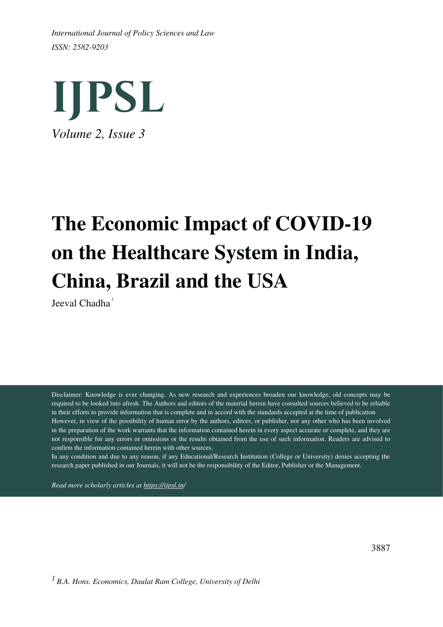*ISSN: 2582-9203 International Journal of Policy Sciences and Law*



# **The Economic Impact of COVID-19 on the Healthcare System in India, China, Brazil and the USA**

Jeeval Chadha *1*

Disclaimer: Knowledge is ever changing. As new research and experiences broaden our knowledge, old concepts may be required to be looked into afresh. The Authors and editors of the material herein have consulted sources believed to be reliable in their efforts to provide information that is complete and in accord with the standards accepted at the time of publication However, in view of the possibility of human error by the authors, editors, or publisher, nor any other who has been involved in the preparation of the work warrants that the information contained herein in every aspect accurate or complete, and they are not responsible for any errors or omissions or the results obtained from the use of such information. Readers are advised to confirm the information contained herein with other sources.

In any condition and due to any reason, if any Educational/Research Institution (College or University) denies accepting the research paper published in our Journals, it will not be the responsibility of the Editor, Publisher or the Management.

*Read more scholarly articles at <https://ijpsl.in/>*

*B.A. Hons. Economics, Daulat Ram College, University of Delhi 1*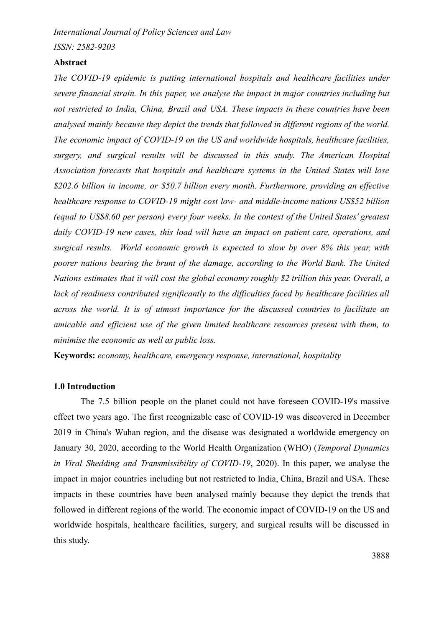*ISSN: 2582-9203*

#### **Abstract**

*The COVID-19 epidemic is putting international hospitals and healthcare facilities under severe financial strain. In this paper, we analyse the impact in major countries including but not restricted to India, China, Brazil and USA. These impacts in these countries have been analysed mainly because they depict the trends that followed in different regions of the world. The economic impact of COVID-19 on the US and worldwide hospitals, healthcare facilities, surgery, and surgical results will be discussed in this study. The American Hospital Association forecasts that hospitals and healthcare systems in the United States will lose \$202.6 billion in income, or \$50.7 billion every month. Furthermore, providing an effective healthcare response to COVID-19 might cost low- and middle-income nations US\$52 billion (equal to US\$8.60 per person) every four weeks. In the context of the United States' greatest daily COVID-19 new cases, this load will have an impact on patient care, operations, and surgical results. World economic growth is expected to slow by over 8% this year, with poorer nations bearing the brunt of the damage, according to the World Bank. The United Nations estimates that it will cost the global economy roughly \$2 trillion this year. Overall, a lack of readiness contributed significantly to the difficulties faced by healthcare facilities all across the world. It is of utmost importance for the discussed countries to facilitate an amicable and efficient use of the given limited healthcare resources present with them, to minimise the economic as well as public loss.*

**Keywords:** *economy, healthcare, emergency response, international, hospitality*

#### **1.0 Introduction**

The 7.5 billion people on the planet could not have foreseen COVID-19's massive effect two years ago. The first recognizable case of COVID-19 was discovered in December 2019 in China's Wuhan region, and the disease was designated a worldwide emergency on January 30, 2020, according to the World Health Organization (WHO) (*Temporal Dynamics in Viral Shedding and Transmissibility of COVID-19*, 2020). In this paper, we analyse the impact in major countries including but not restricted to India, China, Brazil and USA. These impacts in these countries have been analysed mainly because they depict the trends that followed in different regions of the world. The economic impact of COVID-19 on the US and worldwide hospitals, healthcare facilities, surgery, and surgical results will be discussed in this study.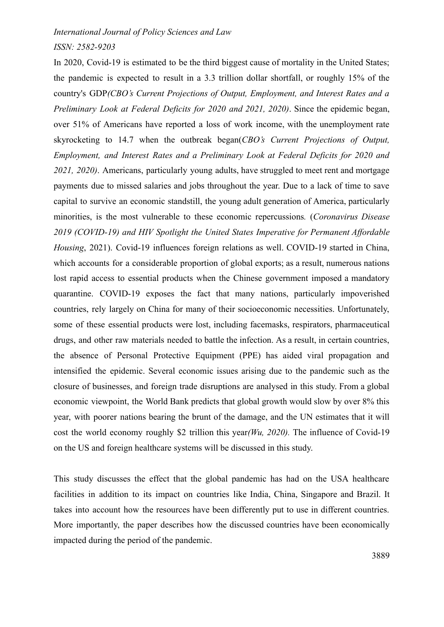## *ISSN: 2582-9203*

In 2020, Covid-19 is estimated to be the third biggest cause of mortality in the United States; the pandemic is expected to result in a 3.3 trillion dollar shortfall, or roughly 15% of the country's GDP*(CBO's Current Projections of Output, Employment, and Interest Rates and a Preliminary Look at Federal Deficits for 2020 and 2021, 2020)*. Since the epidemic began, over 51% of Americans have reported a loss of work income, with the unemployment rate skyrocketing to 14.7 when the outbreak began(*CBO's Current Projections of Output, Employment, and Interest Rates and a Preliminary Look at Federal Deficits for 2020 and 2021, 2020)*. Americans, particularly young adults, have struggled to meet rent and mortgage payments due to missed salaries and jobs throughout the year. Due to a lack of time to save capital to survive an economic standstill, the young adult generation of America, particularly minorities, is the most vulnerable to these economic repercussions*.* (*Coronavirus Disease 2019 (COVID-19) and HIV Spotlight the United States Imperative for Permanent Affordable Housing*, 2021). Covid-19 influences foreign relations as well. COVID-19 started in China, which accounts for a considerable proportion of global exports; as a result, numerous nations lost rapid access to essential products when the Chinese government imposed a mandatory quarantine. COVID-19 exposes the fact that many nations, particularly impoverished countries, rely largely on China for many of their socioeconomic necessities. Unfortunately, some of these essential products were lost, including facemasks, respirators, pharmaceutical drugs, and other raw materials needed to battle the infection. As a result, in certain countries, the absence of Personal Protective Equipment (PPE) has aided viral propagation and intensified the epidemic. Several economic issues arising due to the pandemic such as the closure of businesses, and foreign trade disruptions are analysed in this study. From a global economic viewpoint, the World Bank predicts that global growth would slow by over 8% this year, with poorer nations bearing the brunt of the damage, and the UN estimates that it will cost the world economy roughly \$2 trillion this year*(Wu, 2020).* The influence of Covid-19 on the US and foreign healthcare systems will be discussed in this study.

This study discusses the effect that the global pandemic has had on the USA healthcare facilities in addition to its impact on countries like India, China, Singapore and Brazil. It takes into account how the resources have been differently put to use in different countries. More importantly, the paper describes how the discussed countries have been economically impacted during the period of the pandemic.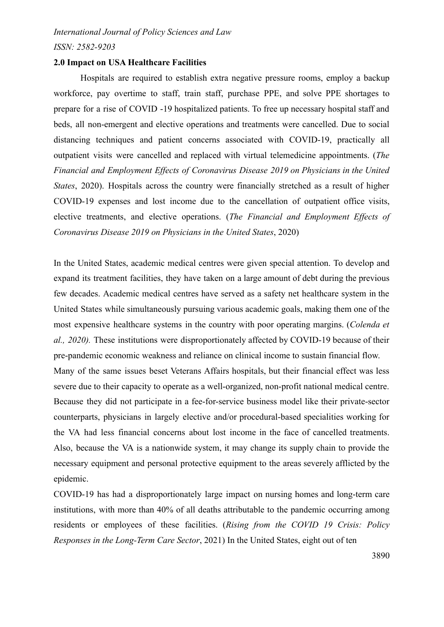# *International Journal of Policy Sciences and Law ISSN: 2582-9203*

#### **2.0 Impact on USA Healthcare Facilities**

Hospitals are required to establish extra negative pressure rooms, employ a backup workforce, pay overtime to staff, train staff, purchase PPE, and solve PPE shortages to prepare for a rise of COVID -19 hospitalized patients. To free up necessary hospital staff and beds, all non-emergent and elective operations and treatments were cancelled. Due to social distancing techniques and patient concerns associated with COVID-19, practically all outpatient visits were cancelled and replaced with virtual telemedicine appointments. (*The Financial and Employment Effects of Coronavirus Disease 2019 on Physicians in the United States*, 2020). Hospitals across the country were financially stretched as a result of higher COVID-19 expenses and lost income due to the cancellation of outpatient office visits, elective treatments, and elective operations. (*The Financial and Employment Effects of Coronavirus Disease 2019 on Physicians in the United States*, 2020)

In the United States, academic medical centres were given special attention. To develop and expand its treatment facilities, they have taken on a large amount of debt during the previous few decades. Academic medical centres have served as a safety net healthcare system in the United States while simultaneously pursuing various academic goals, making them one of the most expensive healthcare systems in the country with poor operating margins. (*Colenda et al., 2020).* These institutions were disproportionately affected by COVID-19 because of their pre-pandemic economic weakness and reliance on clinical income to sustain financial flow. Many of the same issues beset Veterans Affairs hospitals, but their financial effect was less severe due to their capacity to operate as a well-organized, non-profit national medical centre. Because they did not participate in a fee-for-service business model like their private-sector counterparts, physicians in largely elective and/or procedural-based specialities working for the VA had less financial concerns about lost income in the face of cancelled treatments. Also, because the VA is a nationwide system, it may change its supply chain to provide the necessary equipment and personal protective equipment to the areas severely afflicted by the epidemic.

COVID-19 has had a disproportionately large impact on nursing homes and long-term care institutions, with more than 40% of all deaths attributable to the pandemic occurring among residents or employees of these facilities. (*Rising from the COVID 19 Crisis: Policy Responses in the Long-Term Care Sector*, 2021) In the United States, eight out of ten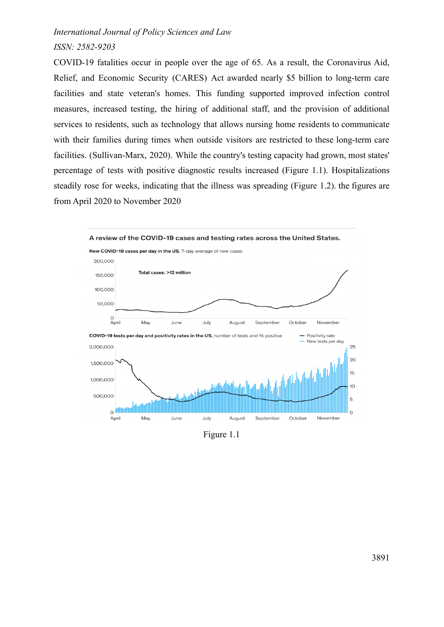# *ISSN: 2582-9203*

COVID-19 fatalities occur in people over the age of 65. As a result, the Coronavirus Aid, Relief, and Economic Security (CARES) Act awarded nearly \$5 billion to long-term care facilities and state veteran's homes. This funding supported improved infection control measures, increased testing, the hiring of additional staff, and the provision of additional services to residents, such as technology that allows nursing home residents to communicate with their families during times when outside visitors are restricted to these long-term care facilities. (Sullivan-Marx, 2020). While the country's testing capacity had grown, most states' percentage of tests with positive diagnostic results increased (Figure 1.1). Hospitalizations steadily rose for weeks, indicating that the illness was spreading (Figure 1.2). the figures are from April 2020 to November 2020



Figure 1.1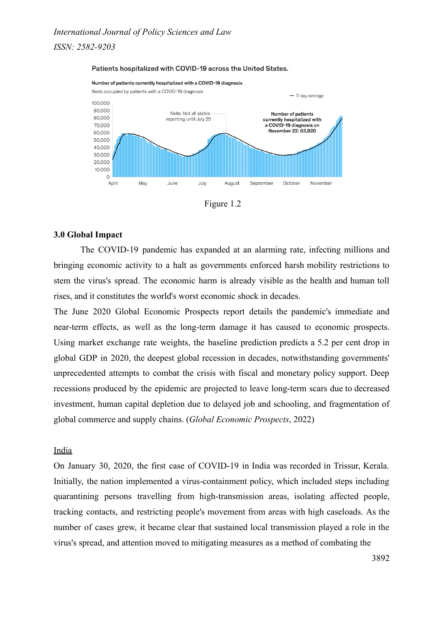*ISSN: 2582-9203*







#### **3.0 Global Impact**

The COVID-19 pandemic has expanded at an alarming rate, infecting millions and bringing economic activity to a halt as governments enforced harsh mobility restrictions to stem the virus's spread. The economic harm is already visible as the health and human toll rises, and it constitutes the world's worst economic shock in decades.

The June 2020 Global Economic Prospects report details the pandemic's immediate and near-term effects, as well as the long-term damage it has caused to economic prospects. Using market exchange rate weights, the baseline prediction predicts a 5.2 per cent drop in global GDP in 2020, the deepest global recession in decades, notwithstanding governments' unprecedented attempts to combat the crisis with fiscal and monetary policy support. Deep recessions produced by the epidemic are projected to leave long-term scars due to decreased investment, human capital depletion due to delayed job and schooling, and fragmentation of global commerce and supply chains. (*Global Economic Prospects*, 2022)

#### India

On January 30, 2020, the first case of COVID-19 in India was recorded in Trissur, Kerala. Initially, the nation implemented a virus-containment policy, which included steps including quarantining persons travelling from high-transmission areas, isolating affected people, tracking contacts, and restricting people's movement from areas with high caseloads. As the number of cases grew, it became clear that sustained local transmission played a role in the virus's spread, and attention moved to mitigating measures as a method of combating the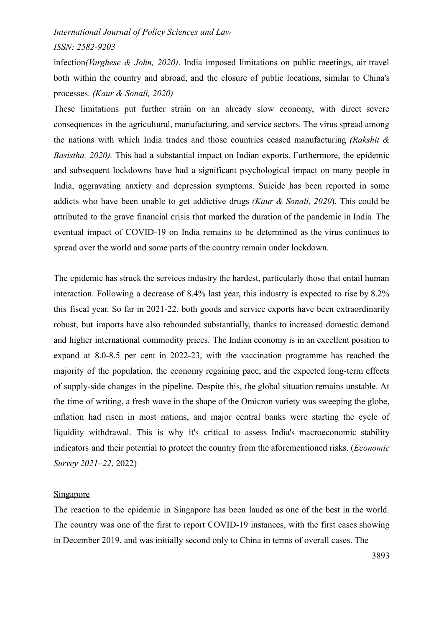# *ISSN: 2582-9203*

infection*(Varghese & John, 2020)*. India imposed limitations on public meetings, air travel both within the country and abroad, and the closure of public locations, similar to China's processes. *(Kaur & Sonali, 2020)*

These limitations put further strain on an already slow economy, with direct severe consequences in the agricultural, manufacturing, and service sectors. The virus spread among the nations with which India trades and those countries ceased manufacturing *(Rakshit & Basistha, 2020).* This had a substantial impact on Indian exports. Furthermore, the epidemic and subsequent lockdowns have had a significant psychological impact on many people in India, aggravating anxiety and depression symptoms. Suicide has been reported in some addicts who have been unable to get addictive drugs *(Kaur & Sonali, 2020*). This could be attributed to the grave financial crisis that marked the duration of the pandemic in India*.* The eventual impact of COVID-19 on India remains to be determined as the virus continues to spread over the world and some parts of the country remain under lockdown.

The epidemic has struck the services industry the hardest, particularly those that entail human interaction. Following a decrease of 8.4% last year, this industry is expected to rise by 8.2% this fiscal year. So far in 2021-22, both goods and service exports have been extraordinarily robust, but imports have also rebounded substantially, thanks to increased domestic demand and higher international commodity prices. The Indian economy is in an excellent position to expand at 8.0-8.5 per cent in 2022-23, with the vaccination programme has reached the majority of the population, the economy regaining pace, and the expected long-term effects of supply-side changes in the pipeline. Despite this, the global situation remains unstable. At the time of writing, a fresh wave in the shape of the Omicron variety was sweeping the globe, inflation had risen in most nations, and major central banks were starting the cycle of liquidity withdrawal. This is why it's critical to assess India's macroeconomic stability indicators and their potential to protect the country from the aforementioned risks. (*Economic Survey 2021–22*, 2022)

# **Singapore**

The reaction to the epidemic in Singapore has been lauded as one of the best in the world. The country was one of the first to report COVID-19 instances, with the first cases showing in December 2019, and was initially second only to China in terms of overall cases. The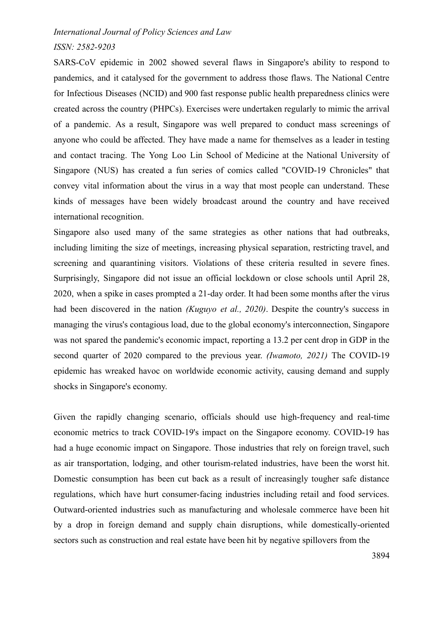# *ISSN: 2582-9203*

SARS-CoV epidemic in 2002 showed several flaws in Singapore's ability to respond to pandemics, and it catalysed for the government to address those flaws. The National Centre for Infectious Diseases (NCID) and 900 fast response public health preparedness clinics were created across the country (PHPCs). Exercises were undertaken regularly to mimic the arrival of a pandemic. As a result, Singapore was well prepared to conduct mass screenings of anyone who could be affected. They have made a name for themselves as a leader in testing and contact tracing. The Yong Loo Lin School of Medicine at the National University of Singapore (NUS) has created a fun series of comics called "COVID-19 Chronicles" that convey vital information about the virus in a way that most people can understand. These kinds of messages have been widely broadcast around the country and have received international recognition.

Singapore also used many of the same strategies as other nations that had outbreaks, including limiting the size of meetings, increasing physical separation, restricting travel, and screening and quarantining visitors. Violations of these criteria resulted in severe fines. Surprisingly, Singapore did not issue an official lockdown or close schools until April 28, 2020, when a spike in cases prompted a 21-day order. It had been some months after the virus had been discovered in the nation *(Kuguyo et al., 2020)*. Despite the country's success in managing the virus's contagious load, due to the global economy's interconnection, Singapore was not spared the pandemic's economic impact, reporting a 13.2 per cent drop in GDP in the second quarter of 2020 compared to the previous year. *(Iwamoto, 2021)* The COVID-19 epidemic has wreaked havoc on worldwide economic activity, causing demand and supply shocks in Singapore's economy.

Given the rapidly changing scenario, officials should use high-frequency and real-time economic metrics to track COVID-19's impact on the Singapore economy. COVID-19 has had a huge economic impact on Singapore. Those industries that rely on foreign travel, such as air transportation, lodging, and other tourism-related industries, have been the worst hit. Domestic consumption has been cut back as a result of increasingly tougher safe distance regulations, which have hurt consumer-facing industries including retail and food services. Outward-oriented industries such as manufacturing and wholesale commerce have been hit by a drop in foreign demand and supply chain disruptions, while domestically-oriented sectors such as construction and real estate have been hit by negative spillovers from the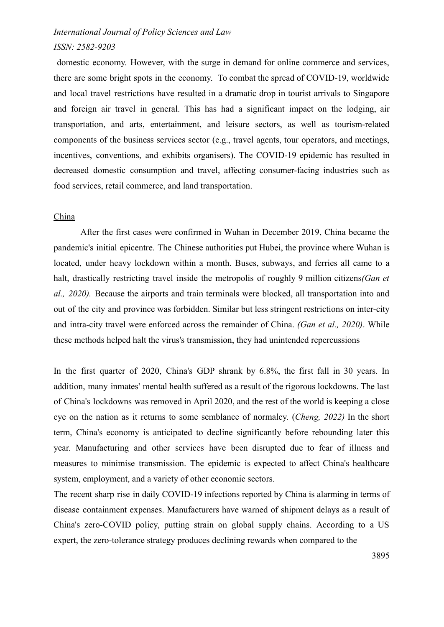# *ISSN: 2582-9203*

domestic economy. However, with the surge in demand for online commerce and services, there are some bright spots in the economy. To combat the spread of COVID-19, worldwide and local travel restrictions have resulted in a dramatic drop in tourist arrivals to Singapore and foreign air travel in general. This has had a significant impact on the lodging, air transportation, and arts, entertainment, and leisure sectors, as well as tourism-related components of the business services sector (e.g., travel agents, tour operators, and meetings, incentives, conventions, and exhibits organisers). The COVID-19 epidemic has resulted in decreased domestic consumption and travel, affecting consumer-facing industries such as food services, retail commerce, and land transportation.

### China

After the first cases were confirmed in Wuhan in December 2019, China became the pandemic's initial epicentre. The Chinese authorities put Hubei, the province where Wuhan is located, under heavy lockdown within a month. Buses, subways, and ferries all came to a halt, drastically restricting travel inside the metropolis of roughly 9 million citizens*(Gan et al., 2020).* Because the airports and train terminals were blocked, all transportation into and out of the city and province was forbidden. Similar but less stringent restrictions on inter-city and intra-city travel were enforced across the remainder of China. *(Gan et al., 2020)*. While these methods helped halt the virus's transmission, they had unintended repercussions

In the first quarter of 2020, China's GDP shrank by 6.8%, the first fall in 30 years. In addition, many inmates' mental health suffered as a result of the rigorous lockdowns. The last of China's lockdowns was removed in April 2020, and the rest of the world is keeping a close eye on the nation as it returns to some semblance of normalcy. (*Cheng, 2022)* In the short term, China's economy is anticipated to decline significantly before rebounding later this year. Manufacturing and other services have been disrupted due to fear of illness and measures to minimise transmission. The epidemic is expected to affect China's healthcare system, employment, and a variety of other economic sectors.

The recent sharp rise in daily COVID-19 infections reported by China is alarming in terms of disease containment expenses. Manufacturers have warned of shipment delays as a result of China's zero-COVID policy, putting strain on global supply chains. According to a US expert, the zero-tolerance strategy produces declining rewards when compared to the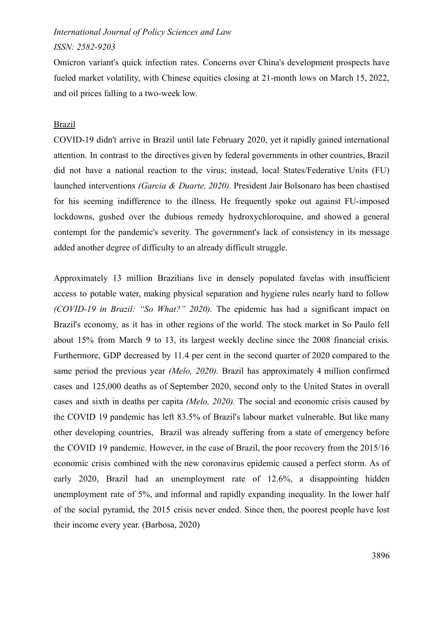# *ISSN: 2582-9203*

Omicron variant's quick infection rates. Concerns over China's development prospects have fueled market volatility, with Chinese equities closing at 21-month lows on March 15, 2022, and oil prices falling to a two-week low.

#### Brazil

COVID-19 didn't arrive in Brazil until late February 2020, yet it rapidly gained international attention. In contrast to the directives given by federal governments in other countries, Brazil did not have a national reaction to the virus; instead, local States/Federative Units (FU) launched interventions *(Garcia & Duarte, 2020).* President Jair Bolsonaro has been chastised for his seeming indifference to the illness. He frequently spoke out against FU-imposed lockdowns, gushed over the dubious remedy hydroxychloroquine, and showed a general contempt for the pandemic's severity. The government's lack of consistency in its message added another degree of difficulty to an already difficult struggle.

Approximately 13 million Brazilians live in densely populated favelas with insufficient access to potable water, making physical separation and hygiene rules nearly hard to follow *(COVID-19 in Brazil: "So What?" 2020).* The epidemic has had a significant impact on Brazil's economy, as it has in other regions of the world. The stock market in So Paulo fell about 15% from March 9 to 13, its largest weekly decline since the 2008 financial crisis*.* Furthermore, GDP decreased by 11.4 per cent in the second quarter of 2020 compared to the same period the previous year *(Melo, 2020).* Brazil has approximately 4 million confirmed cases and 125,000 deaths as of September 2020, second only to the United States in overall cases and sixth in deaths per capita *(Melo, 2020).* The social and economic crisis caused by the COVID 19 pandemic has left 83.5% of Brazil's labour market vulnerable. But like many other developing countries, Brazil was already suffering from a state of emergency before the COVID 19 pandemic. However, in the case of Brazil, the poor recovery from the 2015/16 economic crisis combined with the new coronavirus epidemic caused a perfect storm. As of early 2020, Brazil had an unemployment rate of 12.6%, a disappointing hidden unemployment rate of 5%, and informal and rapidly expanding inequality. In the lower half of the social pyramid, the 2015 crisis never ended. Since then, the poorest people have lost their income every year. (Barbosa, 2020)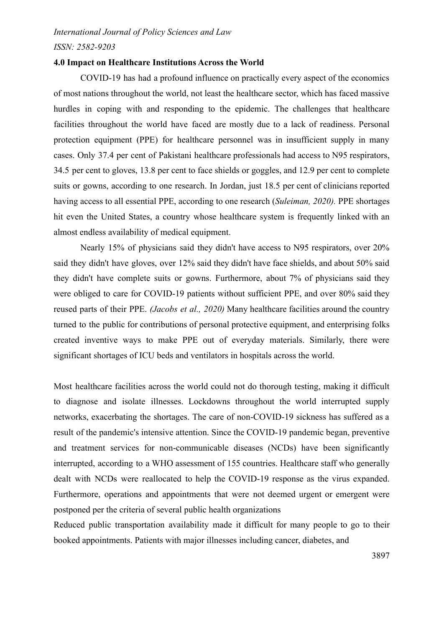# *International Journal of Policy Sciences and Law ISSN: 2582-9203*

#### **4.0 Impact on Healthcare Institutions Across the World**

COVID-19 has had a profound influence on practically every aspect of the economics of most nations throughout the world, not least the healthcare sector, which has faced massive hurdles in coping with and responding to the epidemic. The challenges that healthcare facilities throughout the world have faced are mostly due to a lack of readiness. Personal protection equipment (PPE) for healthcare personnel was in insufficient supply in many cases. Only 37.4 per cent of Pakistani healthcare professionals had access to N95 respirators, 34.5 per cent to gloves, 13.8 per cent to face shields or goggles, and 12.9 per cent to complete suits or gowns, according to one research. In Jordan, just 18.5 per cent of clinicians reported having access to all essential PPE, according to one research (*Suleiman, 2020).* PPE shortages hit even the United States, a country whose healthcare system is frequently linked with an almost endless availability of medical equipment.

Nearly 15% of physicians said they didn't have access to N95 respirators, over 20% said they didn't have gloves, over 12% said they didn't have face shields, and about 50% said they didn't have complete suits or gowns. Furthermore, about 7% of physicians said they were obliged to care for COVID-19 patients without sufficient PPE, and over 80% said they reused parts of their PPE. *(Jacobs et al., 2020)* Many healthcare facilities around the country turned to the public for contributions of personal protective equipment, and enterprising folks created inventive ways to make PPE out of everyday materials. Similarly, there were significant shortages of ICU beds and ventilators in hospitals across the world.

Most healthcare facilities across the world could not do thorough testing, making it difficult to diagnose and isolate illnesses. Lockdowns throughout the world interrupted supply networks, exacerbating the shortages. The care of non-COVID-19 sickness has suffered as a result of the pandemic's intensive attention. Since the COVID-19 pandemic began, preventive and treatment services for non-communicable diseases (NCDs) have been significantly interrupted, according to a WHO assessment of 155 countries. Healthcare staff who generally dealt with NCDs were reallocated to help the COVID-19 response as the virus expanded. Furthermore, operations and appointments that were not deemed urgent or emergent were postponed per the criteria of several public health organizations

Reduced public transportation availability made it difficult for many people to go to their booked appointments. Patients with major illnesses including cancer, diabetes, and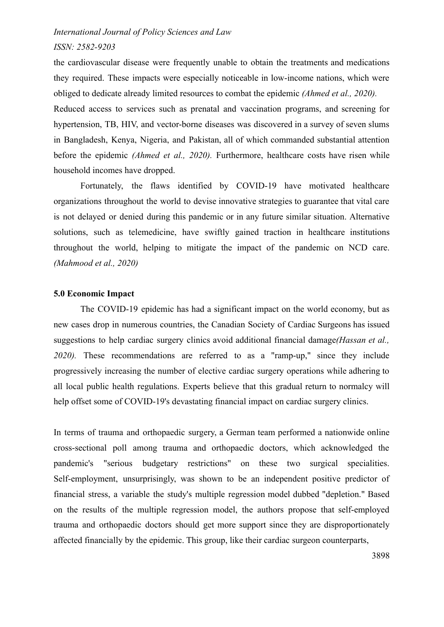# *ISSN: 2582-9203*

the cardiovascular disease were frequently unable to obtain the treatments and medications they required. These impacts were especially noticeable in low-income nations, which were obliged to dedicate already limited resources to combat the epidemic *(Ahmed et al., 2020).* Reduced access to services such as prenatal and vaccination programs, and screening for hypertension, TB, HIV, and vector-borne diseases was discovered in a survey of seven slums in Bangladesh, Kenya, Nigeria, and Pakistan, all of which commanded substantial attention before the epidemic *(Ahmed et al., 2020).* Furthermore, healthcare costs have risen while household incomes have dropped.

Fortunately, the flaws identified by COVID-19 have motivated healthcare organizations throughout the world to devise innovative strategies to guarantee that vital care is not delayed or denied during this pandemic or in any future similar situation. Alternative solutions, such as telemedicine, have swiftly gained traction in healthcare institutions throughout the world, helping to mitigate the impact of the pandemic on NCD care. *(Mahmood et al., 2020)*

#### **5.0 Economic Impact**

The COVID-19 epidemic has had a significant impact on the world economy, but as new cases drop in numerous countries, the Canadian Society of Cardiac Surgeons has issued suggestions to help cardiac surgery clinics avoid additional financial damage*(Hassan et al., 2020).* These recommendations are referred to as a "ramp-up," since they include progressively increasing the number of elective cardiac surgery operations while adhering to all local public health regulations. Experts believe that this gradual return to normalcy will help offset some of COVID-19's devastating financial impact on cardiac surgery clinics.

In terms of trauma and orthopaedic surgery, a German team performed a nationwide online cross-sectional poll among trauma and orthopaedic doctors, which acknowledged the pandemic's "serious budgetary restrictions" on these two surgical specialities. Self-employment, unsurprisingly, was shown to be an independent positive predictor of financial stress, a variable the study's multiple regression model dubbed "depletion." Based on the results of the multiple regression model, the authors propose that self-employed trauma and orthopaedic doctors should get more support since they are disproportionately affected financially by the epidemic. This group, like their cardiac surgeon counterparts,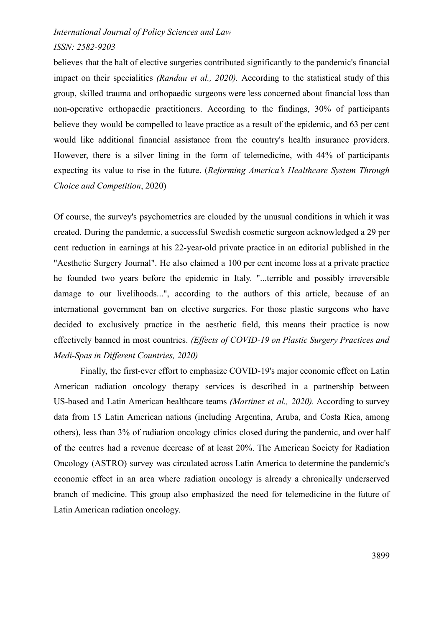# *ISSN: 2582-9203*

believes that the halt of elective surgeries contributed significantly to the pandemic's financial impact on their specialities *(Randau et al., 2020).* According to the statistical study of this group, skilled trauma and orthopaedic surgeons were less concerned about financial loss than non-operative orthopaedic practitioners. According to the findings, 30% of participants believe they would be compelled to leave practice as a result of the epidemic, and 63 per cent would like additional financial assistance from the country's health insurance providers. However, there is a silver lining in the form of telemedicine, with 44% of participants expecting its value to rise in the future. (*Reforming America's Healthcare System Through Choice and Competition*, 2020)

Of course, the survey's psychometrics are clouded by the unusual conditions in which it was created. During the pandemic, a successful Swedish cosmetic surgeon acknowledged a 29 per cent reduction in earnings at his 22-year-old private practice in an editorial published in the "Aesthetic Surgery Journal". He also claimed a 100 per cent income loss at a private practice he founded two years before the epidemic in Italy. "...terrible and possibly irreversible damage to our livelihoods...", according to the authors of this article, because of an international government ban on elective surgeries. For those plastic surgeons who have decided to exclusively practice in the aesthetic field, this means their practice is now effectively banned in most countries. *(Effects of COVID-19 on Plastic Surgery Practices and Medi-Spas in Different Countries, 2020)*

Finally, the first-ever effort to emphasize COVID-19's major economic effect on Latin American radiation oncology therapy services is described in a partnership between US-based and Latin American healthcare teams *(Martinez et al., 2020).* According to survey data from 15 Latin American nations (including Argentina, Aruba, and Costa Rica, among others), less than 3% of radiation oncology clinics closed during the pandemic, and over half of the centres had a revenue decrease of at least 20%. The American Society for Radiation Oncology (ASTRO) survey was circulated across Latin America to determine the pandemic's economic effect in an area where radiation oncology is already a chronically underserved branch of medicine. This group also emphasized the need for telemedicine in the future of Latin American radiation oncology.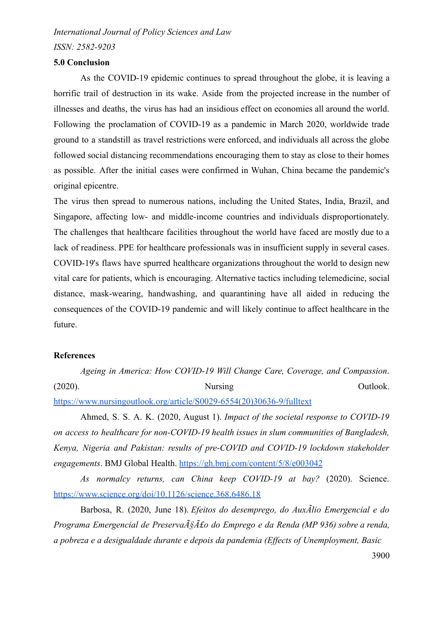*ISSN: 2582-9203*

#### **5.0 Conclusion**

As the COVID-19 epidemic continues to spread throughout the globe, it is leaving a horrific trail of destruction in its wake. Aside from the projected increase in the number of illnesses and deaths, the virus has had an insidious effect on economies all around the world. Following the proclamation of COVID-19 as a pandemic in March 2020, worldwide trade ground to a standstill as travel restrictions were enforced, and individuals all across the globe followed social distancing recommendations encouraging them to stay as close to their homes as possible. After the initial cases were confirmed in Wuhan, China became the pandemic's original epicentre.

The virus then spread to numerous nations, including the United States, India, Brazil, and Singapore, affecting low- and middle-income countries and individuals disproportionately. The challenges that healthcare facilities throughout the world have faced are mostly due to a lack of readiness. PPE for healthcare professionals was in insufficient supply in several cases. COVID-19's flaws have spurred healthcare organizations throughout the world to design new vital care for patients, which is encouraging. Alternative tactics including telemedicine, social distance, mask-wearing, handwashing, and quarantining have all aided in reducing the consequences of the COVID-19 pandemic and will likely continue to affect healthcare in the future.

# **References**

*Ageing in America: How COVID-19 Will Change Care, Coverage, and Compassion*. (2020). Nursing Nursing Outlook. [https://www.nursingoutlook.org/article/S0029-6554\(20\)30636-9/fulltext](https://www.nursingoutlook.org/article/S0029-6554(20)30636-9/fulltext)

Ahmed, S. S. A. K. (2020, August 1). *Impact of the societal response to COVID-19*

*on access to healthcare for non-COVID-19 health issues in slum communities of Bangladesh, Kenya, Nigeria and Pakistan: results of pre-COVID and COVID-19 lockdown stakeholder engagements*. BMJ Global Health. <https://gh.bmj.com/content/5/8/e003042>

*As normalcy returns, can China keep COVID-19 at bay?* (2020). Science. <https://www.science.org/doi/10.1126/science.368.6486.18>

Barbosa, R. (2020, June 18). *Efeitos do desemprego, do AuxÃlio Emergencial e do Programa Emergencial de Preservação do Emprego e da Renda (MP 936) sobre a renda, a pobreza e a desigualdade durante e depois da pandemia (Effects of Unemployment, Basic*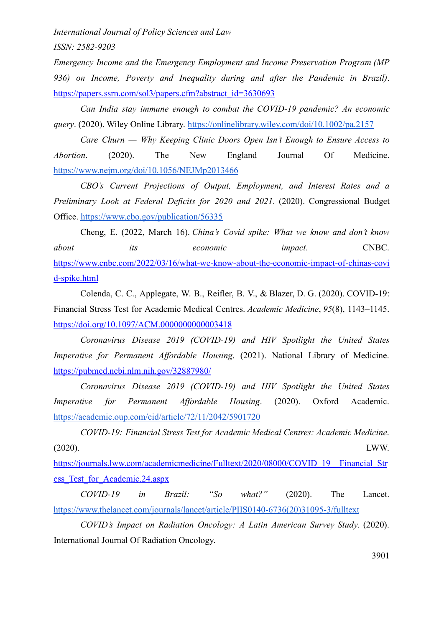*ISSN: 2582-9203*

*Emergency Income and the Emergency Employment and Income Preservation Program (MP 936) on Income, Poverty and Inequality during and after the Pandemic in Brazil)*. [https://papers.ssrn.com/sol3/papers.cfm?abstract\\_id=3630693](https://papers.ssrn.com/sol3/papers.cfm?abstract_id=3630693)

*Can India stay immune enough to combat the COVID-19 pandemic? An economic query*. (2020). Wiley Online Library. <https://onlinelibrary.wiley.com/doi/10.1002/pa.2157>

*Care Churn — Why Keeping Clinic Doors Open Isn't Enough to Ensure Access to Abortion*. (2020). The New England Journal Of Medicine. <https://www.nejm.org/doi/10.1056/NEJMp2013466>

*CBO's Current Projections of Output, Employment, and Interest Rates and a Preliminary Look at Federal Deficits for 2020 and 2021*. (2020). Congressional Budget Office. <https://www.cbo.gov/publication/56335>

Cheng, E. (2022, March 16). *China's Covid spike: What we know and don't know about its economic impact*. CNBC. [https://www.cnbc.com/2022/03/16/what-we-know-about-the-economic-impact-of-chinas-covi](https://www.cnbc.com/2022/03/16/what-we-know-about-the-economic-impact-of-chinas-covid-spike.html) [d-spike.html](https://www.cnbc.com/2022/03/16/what-we-know-about-the-economic-impact-of-chinas-covid-spike.html)

Colenda, C. C., Applegate, W. B., Reifler, B. V., & Blazer, D. G. (2020). COVID-19: Financial Stress Test for Academic Medical Centres. *Academic Medicine*, *95*(8), 1143–1145. <https://doi.org/10.1097/ACM.0000000000003418>

*Coronavirus Disease 2019 (COVID-19) and HIV Spotlight the United States Imperative for Permanent Affordable Housing*. (2021). National Library of Medicine. <https://pubmed.ncbi.nlm.nih.gov/32887980/>

*Coronavirus Disease 2019 (COVID-19) and HIV Spotlight the United States Imperative for Permanent Affordable Housing*. (2020). Oxford Academic. <https://academic.oup.com/cid/article/72/11/2042/5901720>

*COVID-19: Financial Stress Test for Academic Medical Centres: Academic Medicine*. (2020). LWW.

[https://journals.lww.com/academicmedicine/Fulltext/2020/08000/COVID\\_19\\_\\_Financial\\_Str](https://journals.lww.com/academicmedicine/Fulltext/2020/08000/COVID_19__Financial_Stress_Test_for_Academic.24.aspx) [ess\\_Test\\_for\\_Academic.24.aspx](https://journals.lww.com/academicmedicine/Fulltext/2020/08000/COVID_19__Financial_Stress_Test_for_Academic.24.aspx)

*COVID-19 in Brazil: "So what?"* (2020). The Lancet. [https://www.thelancet.com/journals/lancet/article/PIIS0140-6736\(20\)31095-3/fulltext](https://www.thelancet.com/journals/lancet/article/PIIS0140-6736(20)31095-3/fulltext)

*COVID's Impact on Radiation Oncology: A Latin American Survey Study*. (2020). International Journal Of Radiation Oncology.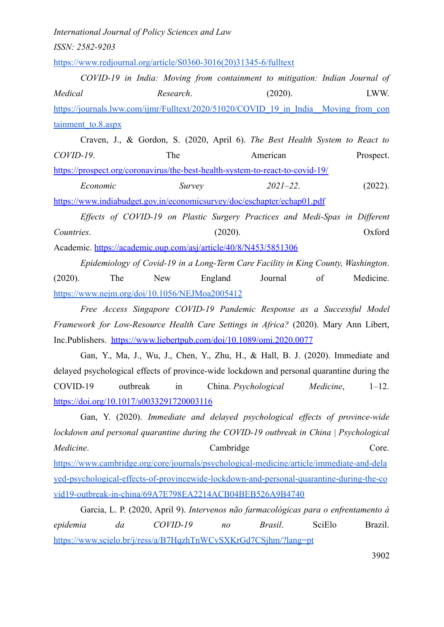*ISSN: 2582-9203*

[https://www.redjournal.org/article/S0360-3016\(20\)31345-6/fulltext](https://www.redjournal.org/article/S0360-3016(20)31345-6/fulltext)

*COVID-19 in India: Moving from containment to mitigation: Indian Journal of Medical Research*. (2020). LWW. [https://journals.lww.com/ijmr/Fulltext/2020/51020/COVID\\_19\\_in\\_India\\_\\_Moving\\_from\\_con](https://journals.lww.com/ijmr/Fulltext/2020/51020/COVID_19_in_India__Moving_from_containment_to.8.aspx) [tainment\\_to.8.aspx](https://journals.lww.com/ijmr/Fulltext/2020/51020/COVID_19_in_India__Moving_from_containment_to.8.aspx)

Craven, J., & Gordon, S. (2020, April 6). *The Best Health System to React to COVID-19*. The American Prospect. <https://prospect.org/coronavirus/the-best-health-system-to-react-to-covid-19/>

*Economic Survey 2021–22*. (2022). <https://www.indiabudget.gov.in/economicsurvey/doc/eschapter/echap01.pdf>

*Effects of COVID-19 on Plastic Surgery Practices and Medi-Spas in Different Countries*. (2020). Oxford Academic. <https://academic.oup.com/asj/article/40/8/N453/5851306>

*Epidemiology of Covid-19 in a Long-Term Care Facility in King County, Washington*. (2020). The New England Journal of Medicine. <https://www.nejm.org/doi/10.1056/NEJMoa2005412>

*Free Access Singapore COVID-19 Pandemic Response as a Successful Model Framework for Low-Resource Health Care Settings in Africa?* (2020). Mary Ann Libert, Inc.Publishers. <https://www.liebertpub.com/doi/10.1089/omi.2020.0077>

Gan, Y., Ma, J., Wu, J., Chen, Y., Zhu, H., & Hall, B. J. (2020). Immediate and delayed psychological effects of province-wide lockdown and personal quarantine during the COVID-19 outbreak in China. *Psychological Medicine*, 1–12. <https://doi.org/10.1017/s0033291720003116>

Gan, Y. (2020). *Immediate and delayed psychological effects of province-wide lockdown and personal quarantine during the COVID-19 outbreak in China | Psychological Medicine*. Cambridge Core. [https://www.cambridge.org/core/journals/psychological-medicine/article/immediate-and-dela](https://www.cambridge.org/core/journals/psychological-medicine/article/immediate-and-delayed-psychological-effects-of-provincewide-lockdown-and-personal-quarantine-during-the-covid19-outbreak-in-china/69A7E798EA2214ACB04BEB526A9B4740) [yed-psychological-effects-of-provincewide-lockdown-and-personal-quarantine-during-the-co](https://www.cambridge.org/core/journals/psychological-medicine/article/immediate-and-delayed-psychological-effects-of-provincewide-lockdown-and-personal-quarantine-during-the-covid19-outbreak-in-china/69A7E798EA2214ACB04BEB526A9B4740) [vid19-outbreak-in-china/69A7E798EA2214ACB04BEB526A9B4740](https://www.cambridge.org/core/journals/psychological-medicine/article/immediate-and-delayed-psychological-effects-of-provincewide-lockdown-and-personal-quarantine-during-the-covid19-outbreak-in-china/69A7E798EA2214ACB04BEB526A9B4740)

Garcia, L. P. (2020, April 9). *Intervenos não farmacológicas para o enfrentamento à epidemia da COVID-19 no Brasil*. SciElo Brazil. <https://www.scielo.br/j/ress/a/B7HqzhTnWCvSXKrGd7CSjhm/?lang=pt>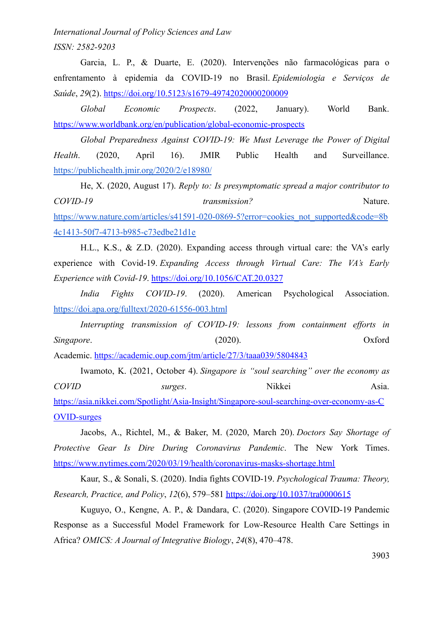*ISSN: 2582-9203*

Garcia, L. P., & Duarte, E. (2020). Intervenções não farmacológicas para o enfrentamento à epidemia da COVID-19 no Brasil. *Epidemiologia e Serviços de Saúde*, *29*(2). <https://doi.org/10.5123/s1679-49742020000200009>

*Global Economic Prospects*. (2022, January). World Bank. <https://www.worldbank.org/en/publication/global-economic-prospects>

*Global Preparedness Against COVID-19: We Must Leverage the Power of Digital Health*. (2020, April 16). JMIR Public Health and Surveillance. <https://publichealth.jmir.org/2020/2/e18980/>

He, X. (2020, August 17). *Reply to: Is presymptomatic spread a major contributor to COVID-19 transmission?* Nature. [https://www.nature.com/articles/s41591-020-0869-5?error=cookies\\_not\\_supported&code=8b](https://www.nature.com/articles/s41591-020-0869-5?error=cookies_not_supported&code=8b4c1413-50f7-4713-b985-c73edbe21d1e) [4c1413-50f7-4713-b985-c73edbe21d1e](https://www.nature.com/articles/s41591-020-0869-5?error=cookies_not_supported&code=8b4c1413-50f7-4713-b985-c73edbe21d1e)

H.L., K.S., & Z.D. (2020). Expanding access through virtual care: the VA's early experience with Covid-19. *Expanding Access through Virtual Care: The VA's Early Experience with Covid-19*. <https://doi.org/10.1056/CAT.20.0327>

*India Fights COVID-19*. (2020). American Psychological Association. <https://doi.apa.org/fulltext/2020-61556-003.html>

*Interrupting transmission of COVID-19: lessons from containment efforts in Singapore*. (2020). Oxford Academic. <https://academic.oup.com/jtm/article/27/3/taaa039/5804843>

Iwamoto, K. (2021, October 4). *Singapore is "soul searching" over the economy as COVID surges*. Nikkei Asia. [https://asia.nikkei.com/Spotlight/Asia-Insight/Singapore-soul-searching-over-economy-as-C](https://asia.nikkei.com/Spotlight/Asia-Insight/Singapore-soul-searching-over-economy-as-COVID-surges) [OVID-surges](https://asia.nikkei.com/Spotlight/Asia-Insight/Singapore-soul-searching-over-economy-as-COVID-surges)

Jacobs, A., Richtel, M., & Baker, M. (2020, March 20). *Doctors Say Shortage of Protective Gear Is Dire During Coronavirus Pandemic*. The New York Times. <https://www.nytimes.com/2020/03/19/health/coronavirus-masks-shortage.html>

Kaur, S., & Sonali, S. (2020). India fights COVID-19. *Psychological Trauma: Theory, Research, Practice, and Policy*, *12*(6), 579–581 <https://doi.org/10.1037/tra0000615>

Kuguyo, O., Kengne, A. P., & Dandara, C. (2020). Singapore COVID-19 Pandemic Response as a Successful Model Framework for Low-Resource Health Care Settings in Africa? *OMICS: A Journal of Integrative Biology*, *24*(8), 470–478.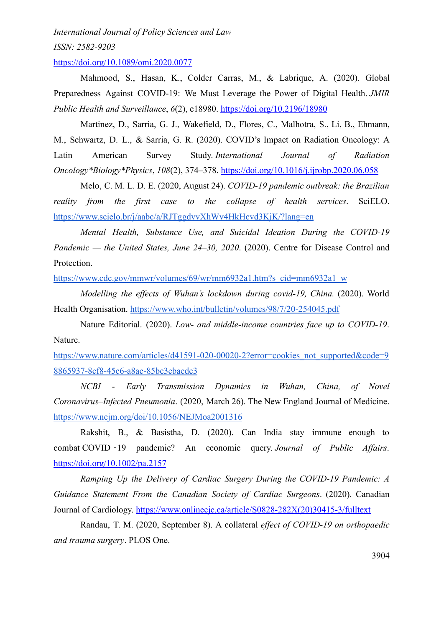*ISSN: 2582-9203*

<https://doi.org/10.1089/omi.2020.0077>

Mahmood, S., Hasan, K., Colder Carras, M., & Labrique, A. (2020). Global Preparedness Against COVID-19: We Must Leverage the Power of Digital Health. *JMIR Public Health and Surveillance*, *6*(2), e18980. <https://doi.org/10.2196/18980>

Martinez, D., Sarria, G. J., Wakefield, D., Flores, C., Malhotra, S., Li, B., Ehmann, M., Schwartz, D. L., & Sarria, G. R. (2020). COVID's Impact on Radiation Oncology: A Latin American Survey Study. *International Journal of Radiation Oncology\*Biology\*Physics*, *108*(2), 374–378. <https://doi.org/10.1016/j.ijrobp.2020.06.058>

Melo, C. M. L. D. E. (2020, August 24). *COVID-19 pandemic outbreak: the Brazilian reality from the first case to the collapse of health services*. SciELO. <https://www.scielo.br/j/aabc/a/RJTggdvvXhWv4HkHcvd3KjK/?lang=en>

*Mental Health, Substance Use, and Suicidal Ideation During the COVID-19 Pandemic — the United States, June 24–30, 2020*. (2020). Centre for Disease Control and Protection.

[https://www.cdc.gov/mmwr/volumes/69/wr/mm6932a1.htm?s\\_cid=mm6932a1\\_w](https://www.cdc.gov/mmwr/volumes/69/wr/mm6932a1.htm?s_cid=mm6932a1_w)

*Modelling the effects of Wuhan's lockdown during covid-19, China.* (2020). World Health Organisation. <https://www.who.int/bulletin/volumes/98/7/20-254045.pdf>

Nature Editorial. (2020). *Low- and middle-income countries face up to COVID-19*. Nature.

[https://www.nature.com/articles/d41591-020-00020-2?error=cookies\\_not\\_supported&code=9](https://www.nature.com/articles/d41591-020-00020-2?error=cookies_not_supported&code=98865937-8cf8-45c6-a8ac-85be3cbaedc3) [8865937-8cf8-45c6-a8ac-85be3cbaedc3](https://www.nature.com/articles/d41591-020-00020-2?error=cookies_not_supported&code=98865937-8cf8-45c6-a8ac-85be3cbaedc3)

*NCBI - Early Transmission Dynamics in Wuhan, China, of Novel Coronavirus–Infected Pneumonia*. (2020, March 26). The New England Journal of Medicine. <https://www.nejm.org/doi/10.1056/NEJMoa2001316>

Rakshit, B., & Basistha, D. (2020). Can India stay immune enough to combat COVID ‐19 pandemic? An economic query. *Journal of Public Affairs*. <https://doi.org/10.1002/pa.2157>

*Ramping Up the Delivery of Cardiac Surgery During the COVID-19 Pandemic: A Guidance Statement From the Canadian Society of Cardiac Surgeons*. (2020). Canadian Journal of Cardiology. [https://www.onlinecjc.ca/article/S0828-282X\(20\)30415-3/fulltext](https://www.onlinecjc.ca/article/S0828-282X(20)30415-3/fulltext)

Randau, T. M. (2020, September 8). A collateral *effect of COVID-19 on orthopaedic and trauma surgery*. PLOS One.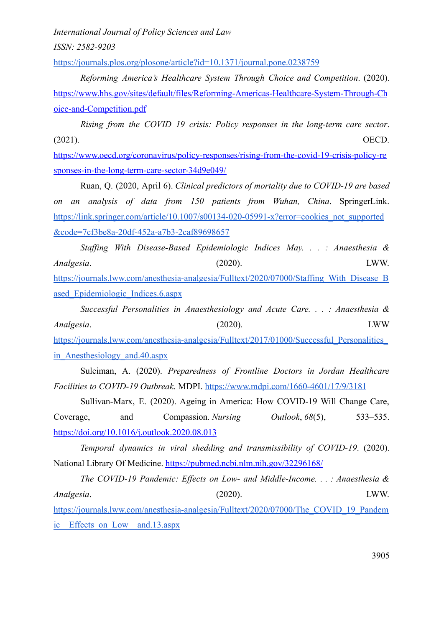*ISSN: 2582-9203*

<https://journals.plos.org/plosone/article?id=10.1371/journal.pone.0238759>

*Reforming America's Healthcare System Through Choice and Competition*. (2020). [https://www.hhs.gov/sites/default/files/Reforming-Americas-Healthcare-System-Through-Ch](https://www.hhs.gov/sites/default/files/Reforming-Americas-Healthcare-System-Through-Choice-and-Competition.pdf) [oice-and-Competition.pdf](https://www.hhs.gov/sites/default/files/Reforming-Americas-Healthcare-System-Through-Choice-and-Competition.pdf)

*Rising from the COVID 19 crisis: Policy responses in the long-term care sector*. (2021). OECD.

[https://www.oecd.org/coronavirus/policy-responses/rising-from-the-covid-19-crisis-policy-re](https://www.oecd.org/coronavirus/policy-responses/rising-from-the-covid-19-crisis-policy-responses-in-the-long-term-care-sector-34d9e049/) [sponses-in-the-long-term-care-sector-34d9e049/](https://www.oecd.org/coronavirus/policy-responses/rising-from-the-covid-19-crisis-policy-responses-in-the-long-term-care-sector-34d9e049/)

Ruan, Q. (2020, April 6). *Clinical predictors of mortality due to COVID-19 are based on an analysis of data from 150 patients from Wuhan, China*. SpringerLink. [https://link.springer.com/article/10.1007/s00134-020-05991-x?error=cookies\\_not\\_supported](https://link.springer.com/article/10.1007/s00134-020-05991-x?error=cookies_not_supported&code=7cf3be8a-20df-452a-a7b3-2caf89698657) [&code=7cf3be8a-20df-452a-a7b3-2caf89698657](https://link.springer.com/article/10.1007/s00134-020-05991-x?error=cookies_not_supported&code=7cf3be8a-20df-452a-a7b3-2caf89698657)

*Staffing With Disease-Based Epidemiologic Indices May. . . : Anaesthesia & Analgesia*. (2020). LWW. [https://journals.lww.com/anesthesia-analgesia/Fulltext/2020/07000/Staffing\\_With\\_Disease\\_B](https://journals.lww.com/anesthesia-analgesia/Fulltext/2020/07000/Staffing_With_Disease_Based_Epidemiologic_Indices.6.aspx) [ased\\_Epidemiologic\\_Indices.6.aspx](https://journals.lww.com/anesthesia-analgesia/Fulltext/2020/07000/Staffing_With_Disease_Based_Epidemiologic_Indices.6.aspx)

*Successful Personalities in Anaesthesiology and Acute Care. . . : Anaesthesia & Analgesia*. (2020). LWW https://journals.lww.com/anesthesia-analgesia/Fulltext/2017/01000/Successful\_Personalities [in\\_Anesthesiology\\_and.40.aspx](https://journals.lww.com/anesthesia-analgesia/Fulltext/2017/01000/Successful_Personalities_in_Anesthesiology_and.40.aspx)

Suleiman, A. (2020). *Preparedness of Frontline Doctors in Jordan Healthcare Facilities to COVID-19 Outbreak*. MDPI. <https://www.mdpi.com/1660-4601/17/9/3181>

Sullivan-Marx, E. (2020). Ageing in America: How COVID-19 Will Change Care, Coverage, and Compassion. *Nursing Outlook*, *68*(5), 533–535. <https://doi.org/10.1016/j.outlook.2020.08.013>

*Temporal dynamics in viral shedding and transmissibility of COVID-19*. (2020). National Library Of Medicine. <https://pubmed.ncbi.nlm.nih.gov/32296168/>

*The COVID-19 Pandemic: Effects on Low- and Middle-Income. . . : Anaesthesia & Analgesia*. (2020). LWW. [https://journals.lww.com/anesthesia-analgesia/Fulltext/2020/07000/The\\_COVID\\_19\\_Pandem](https://journals.lww.com/anesthesia-analgesia/Fulltext/2020/07000/The_COVID_19_Pandemic__Effects_on_Low__and.13.aspx) [ic\\_\\_Effects\\_on\\_Low\\_\\_and.13.aspx](https://journals.lww.com/anesthesia-analgesia/Fulltext/2020/07000/The_COVID_19_Pandemic__Effects_on_Low__and.13.aspx)